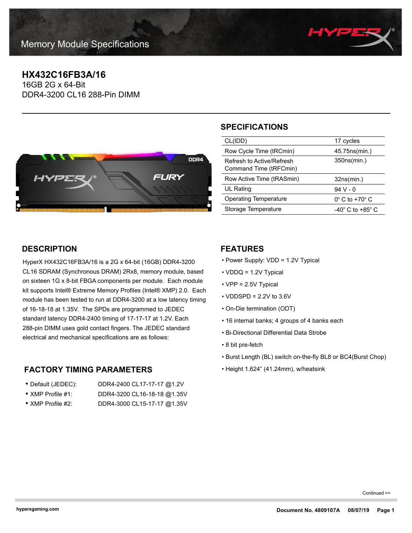

# **HX432C16FB3A/16**

16GB 2G x 64-Bit DDR4-3200 CL16 288-Pin DIMM



# **SPECIFICATIONS**

| CL(IDD)                                             | 17 cycles                            |
|-----------------------------------------------------|--------------------------------------|
| Row Cycle Time (tRCmin)                             | 45.75ns(min.)                        |
| Refresh to Active/Refresh<br>Command Time (tRFCmin) | 350ns(min.)                          |
|                                                     |                                      |
| Row Active Time (tRASmin)                           | 32ns(min.)                           |
| UL Rating                                           | 94 V - 0                             |
| Operating Temperature                               | $0^\circ$ C to +70 $^\circ$ C        |
| Storage Temperature                                 | -40 $^{\circ}$ C to +85 $^{\circ}$ C |

## **DESCRIPTION**

HyperX HX432C16FB3A/16 is a 2G x 64-bit (16GB) DDR4-3200 CL16 SDRAM (Synchronous DRAM) 2Rx8, memory module, based on sixteen 1G x 8-bit FBGA components per module. Each module kit supports Intel® Extreme Memory Profiles (Intel® XMP) 2.0. Each module has been tested to run at DDR4-3200 at a low latency timing of 16-18-18 at 1.35V. The SPDs are programmed to JEDEC standard latency DDR4-2400 timing of 17-17-17 at 1.2V. Each 288-pin DIMM uses gold contact fingers. The JEDEC standard electrical and mechanical specifications are as follows:

### **FACTORY TIMING PARAMETERS**

| • Default (JEDEC):        | DDR4-2400 CL17-17-17 @1.2V  |
|---------------------------|-----------------------------|
| • XMP Profile $#1$ :      | DDR4-3200 CL16-18-18 @1.35V |
| $\bullet$ XMP Profile #2: | DDR4-3000 CL15-17-17 @1.35V |

### **FEATURES**

- Power Supply: VDD = 1.2V Typical
- VDDQ = 1.2V Typical
- VPP = 2.5V Typical
- $\cdot$  VDDSPD = 2.2V to 3.6V
- On-Die termination (ODT)
- 16 internal banks; 4 groups of 4 banks each
- Bi-Directional Differential Data Strobe
- 8 bit pre-fetch
- Burst Length (BL) switch on-the-fly BL8 or BC4(Burst Chop)
- Height 1.624" (41.24mm), w/heatsink